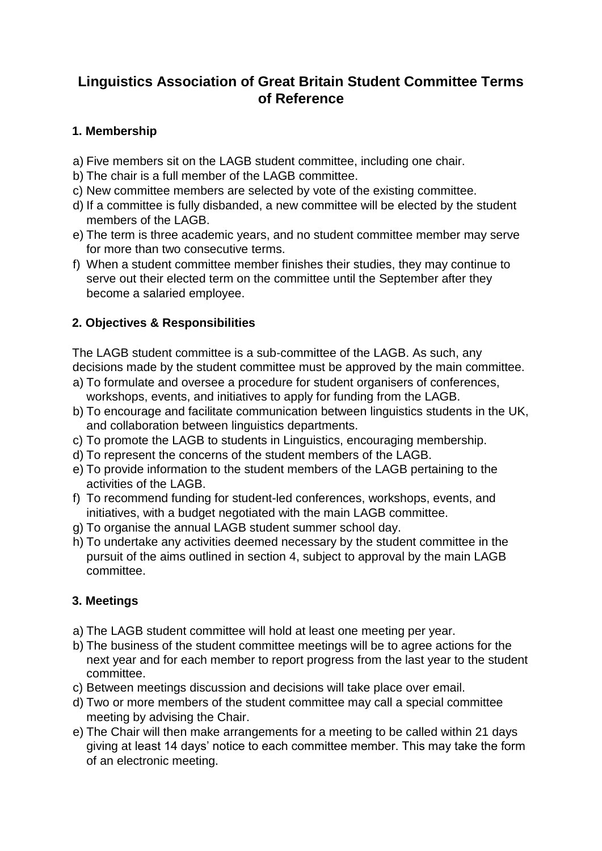# **Linguistics Association of Great Britain Student Committee Terms of Reference**

## **1. Membership**

- a) Five members sit on the LAGB student committee, including one chair.
- b) The chair is a full member of the LAGB committee.
- c) New committee members are selected by vote of the existing committee.
- d) If a committee is fully disbanded, a new committee will be elected by the student members of the LAGB.
- e) The term is three academic years, and no student committee member may serve for more than two consecutive terms.
- f) When a student committee member finishes their studies, they may continue to serve out their elected term on the committee until the September after they become a salaried employee.

### **2. Objectives & Responsibilities**

The LAGB student committee is a sub-committee of the LAGB. As such, any decisions made by the student committee must be approved by the main committee.

- a) To formulate and oversee a procedure for student organisers of conferences, workshops, events, and initiatives to apply for funding from the LAGB.
- b) To encourage and facilitate communication between linguistics students in the UK, and collaboration between linguistics departments.
- c) To promote the LAGB to students in Linguistics, encouraging membership.
- d) To represent the concerns of the student members of the LAGB.
- e) To provide information to the student members of the LAGB pertaining to the activities of the LAGB.
- f) To recommend funding for student-led conferences, workshops, events, and initiatives, with a budget negotiated with the main LAGB committee.
- g) To organise the annual LAGB student summer school day.
- h) To undertake any activities deemed necessary by the student committee in the pursuit of the aims outlined in section 4, subject to approval by the main LAGB committee.

#### **3. Meetings**

- a) The LAGB student committee will hold at least one meeting per year.
- b) The business of the student committee meetings will be to agree actions for the next year and for each member to report progress from the last year to the student committee.
- c) Between meetings discussion and decisions will take place over email.
- d) Two or more members of the student committee may call a special committee meeting by advising the Chair.
- e) The Chair will then make arrangements for a meeting to be called within 21 days giving at least 14 days' notice to each committee member. This may take the form of an electronic meeting.